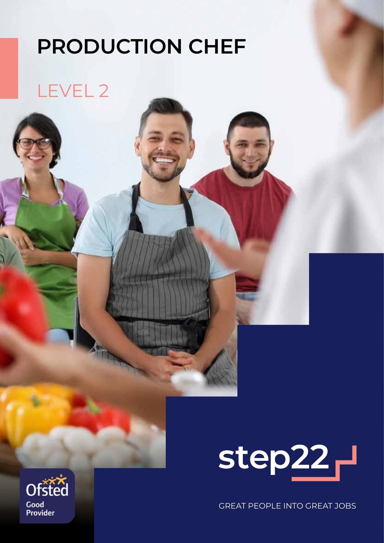# **PRODUCTION CHEF**

## LEVEL 2



GREAT PEOPLE INTO GREAT JOBS

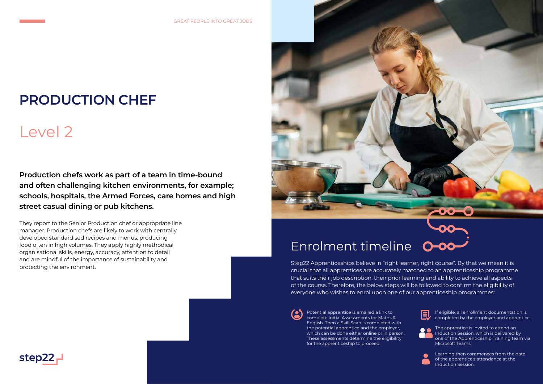**Production chefs work as part of a team in time-bound and often challenging kitchen environments, for example; schools, hospitals, the Armed Forces, care homes and high street casual dining or pub kitchens.**

They report to the Senior Production chef or appropriate line manager. Production chefs are likely to work with centrally developed standardised recipes and menus, producing food often in high volumes. They apply highly methodical organisational skills, energy, accuracy, attention to detail and are mindful of the importance of sustainability and protecting the environment.



## **PRODUCTION CHEF**

# Level 2

## Enrolment timeline

Learning then commences from the date of the apprentice's attendance at the Induction Session.

Step22 Apprenticeships believe in "right learner, right course". By that we mean it is crucial that all apprentices are accurately matched to an apprenticeship programme that suits their job description, their prior learning and ability to achieve all aspects of the course. Therefore, the below steps will be followed to confirm the eligibility of everyone who wishes to enrol upon one of our apprenticeship programmes:

Potential apprentice is emailed a link to complete Initial Assessments for Maths & English. Then a Skill Scan is completed with the potential apprentice and the employer, which can be done either online or in person. These assessments determine the eligibility for the apprenticeship to proceed.







If eligible, all enrollment documentation is completed by the employer and apprentice.



The apprentice is invited to attend an Induction Session, which is delivered by one of the Apprenticeship Training team via Microsoft Teams.

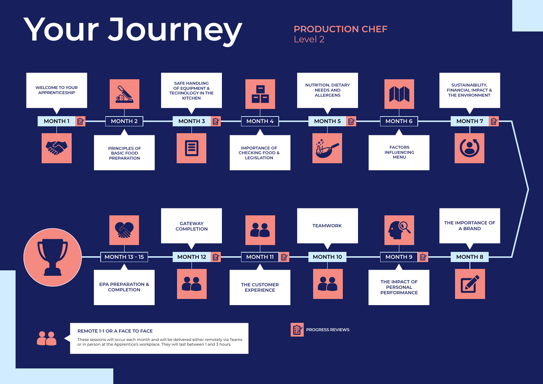## **REMOTE 1-1 OR A FACE TO FACE**

These sessions will occur each month and will be delivered either remotely via Teams or in person at the Apprentice's workplace. They will last between 1 and 3 hours.



# Your Journey **PRODUCTION CHEF**

# Level 2

**PROGRESS REVIEWS**







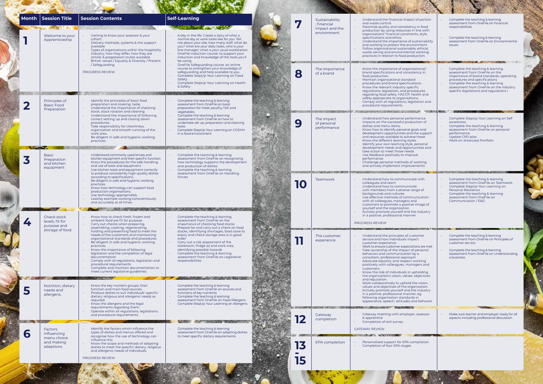|   | Month   Session Title<br>Welcome to your<br>Apprenticeship        | <b>Session Contents</b><br>Getting to know your assessor & your<br>$\sim$<br>cohort.<br>Delivery methods, systems & the support<br>$\sim$<br>available<br>Types of organisations within the hospitality<br>$\sim$<br>industry; how they differ, how they are<br>similar & progression routes available.<br>British values / Equality & Diversity / Prevent<br>$\sim$                                                                                                               | <b>Self-Learning</b><br><b>ANTIQUE SOLU</b><br>A day in the life: Create a story of what a<br>normal day at work looks like for you. Tell<br>me about your site, how many staff, what do<br>you? what are your daily tasks, who is your<br>line manager, what is your usual workstation.<br>OneFile induction course: to support your<br>induction and knowledge of the tools you'll<br>be using. | 7    | Sustainability<br>. financial<br>impact and the<br>environment. | Understand the financial impact of portion<br>and waste control.<br>Maximise quality and consistency in food<br>production by using resources in line with<br>organisations' financial constraints, style,<br>specifications and ethos.<br>Understand the importance of sustainability<br>and working to protect the environment.<br>Follow organisational sustainable, ethical,<br>waste-saving and environmental working<br>practices in relation to food production.    |
|---|-------------------------------------------------------------------|------------------------------------------------------------------------------------------------------------------------------------------------------------------------------------------------------------------------------------------------------------------------------------------------------------------------------------------------------------------------------------------------------------------------------------------------------------------------------------|---------------------------------------------------------------------------------------------------------------------------------------------------------------------------------------------------------------------------------------------------------------------------------------------------------------------------------------------------------------------------------------------------|------|-----------------------------------------------------------------|----------------------------------------------------------------------------------------------------------------------------------------------------------------------------------------------------------------------------------------------------------------------------------------------------------------------------------------------------------------------------------------------------------------------------------------------------------------------------|
|   | Principles of                                                     | /Safeguarding<br><b>PROGRESS REVIEW</b><br>Identify the principles of basic food<br>$\sim$                                                                                                                                                                                                                                                                                                                                                                                         | OneFile Safeguarding course: an online<br>course to strengthen your knowledge of<br>safeguarding and help available to you.<br>Complete StepUp Your Learning on Food<br>Safety<br>Complete StepUp Your Learning on Health<br>& Safety<br>Complete the teaching & learning                                                                                                                         | 8    | The importance<br>of a brand                                    | Know the importance of organisational/<br>brand specifications and consistency in<br>food production.<br>Maintain organisational standard<br>procedures and brand specifications.<br>Know the relevant industry specific<br>regulations, legislation, and procedures<br>regarding food safety, HACCP, health and<br>safety appropriate to organisations.<br>Comply with all regulations, legislation and                                                                   |
|   | <b>Basic Food</b><br>Preparation<br><b>GENT</b>                   | preparation and cooking; taste;<br>Understand the importance of checking<br>$\bullet$<br>stock, stock rotation and cleaning<br>Understand the importance of following<br>correct setting up and closing down<br>procedures.<br>Take responsibility for cleanliness,<br>organisation and smooth running of the<br>work area.<br>Be diligent in safe and hygienic working<br>practices.                                                                                              | assessment from OneFile on basic<br>preparation for meat, poultry, fish and<br>vegetables.<br>Complete the teaching & learning<br>assessment from OneFile on how to<br>undertake set up, preparation and cleaning<br>tasks<br>Complete StepUp Your Learning on COSHH<br>in a food environment                                                                                                     | 9    | The impact<br>of personal<br>performance                        | procedural requirements.<br>Understand how personal performance<br>impacts on the successful production of<br>dishes and menu items.<br>Know how to identify personal goals and<br>development opportunities and the support<br>and resources available to achieve these<br>Know the different learning styles.<br>Identify your own learning style, personal<br>development needs and opportunities and                                                                   |
|   | <b>Basic</b><br>Preparation<br>and kitchen<br>equipment           | Understand commonly used knives and<br>kitchen equipment and their specific function<br>Know the procedures for the safe handling<br>$\sim$<br>and use of tools and equipment.<br>Use kitchen tools and equipment correctly<br>$\mathcal{L}$                                                                                                                                                                                                                                       | Complete the teaching & learning<br>assessment from OneFile on recognising<br>how technology supports the development<br>and production of dishes<br>Complete the teaching & learning<br>assessment from OneFile on Handling<br><b>Knives</b>                                                                                                                                                     |      |                                                                 | take action to meet those needs<br>Use feedback positively to improve<br>performance.<br>Challenge personal methods of working<br>and actively implement improvements.                                                                                                                                                                                                                                                                                                     |
|   |                                                                   | to produce consistently high-quality dishes<br>according to specifications.<br>Be diligent in safe and hygienic working<br>$\bullet$<br>practices.<br>Know how technology can support food<br>$\sim$<br>production organisations.<br>Use technology appropriately.<br>Lead by example working conscientiously<br>and accurately at all times.                                                                                                                                      |                                                                                                                                                                                                                                                                                                                                                                                                   | IIO) | Teamwork                                                        | Understand how to communicate with<br>colleagues and team.<br>Understand how to communicate<br>with members from a diverse range of<br>backgrounds and cultures<br>Use effective methods of communication<br>with all colleagues, managers and<br>customers to promote a positive image of<br>yourself and the organisation.                                                                                                                                               |
| 4 | Check stock<br>levels, fit for<br>purpose and<br>storage of food. | Know how to check fresh, frozen and<br>ambient food are fit for purpose.<br>Carry out checks when preparing,<br>assembling, cooking, regenerating,                                                                                                                                                                                                                                                                                                                                 | Complete the teaching & learning<br>assessment from OneFile on the<br>importance of checking food stocks<br>Prepare for and carry out a check on food                                                                                                                                                                                                                                             |      |                                                                 | Actively promote yourself and the industry<br>in a positive, professional manner.<br>PROGRESS REVIEW                                                                                                                                                                                                                                                                                                                                                                       |
|   |                                                                   | holding and presenting food to meet the<br>needs of the customers and maintaining<br>organisational standards and procedures.<br>Be diligent in safe and hygienic working<br>$\sim$<br>practices.<br>Know the importance of following<br>$\sim$<br>legislation and the completion of legal<br>documentation<br>Comply with all regulations, legislation and<br>$\sim$<br>procedural requirements<br>Complete and maintain documentation to<br>meet current legislative guidelines. | stocks, identifying shortages, food close to<br>expiry and check storage area is in good<br>order<br>Carry out a risk assessment of the<br>storeroom, fridge (s) and work area,<br>identifying possible hazards<br>Complete the teaching & learning<br>assessment from OneFile on Legislative<br>responsibilities                                                                                 |      | The customer<br>experience                                      | Understand the principles of customer<br>service and how individuals impact<br>customer experience.<br>Work to ensure customer expectations are met.<br>Take ownership of the impact of personal<br>behaviors and communication by a<br>consistent, professional approach<br>Advocate equality and respect working<br>positively with colleagues, managers and<br>customers.<br>Know the role of individuals in upholding<br>the organisation's vision, values, objectives |
|   | Nutrition, dietary<br>needs and<br>allergens.                     | Know the key nutrient groups, their<br>function and main food sources.<br>Produce dishes to suit individuals' specific<br>$\sim$<br>dietary, religious and allergenic needs as<br>required.<br>Know the allergens and the legal<br>$\bullet$<br>requirements regarding them.                                                                                                                                                                                                       | Complete the teaching & learning<br>assessment from OneFile on sources and<br>functions of key nutrients<br>Complete the teaching & learning<br>assessment from OneFile on Food Allergens<br>Complete StepUp Your Learning on Allergens                                                                                                                                                           |      |                                                                 | and reputation.<br>Work collaboratively to uphold the vision,<br>values and objectives of the organisation.<br>Actively promote yourself and the industry<br>in a positive, professional manner, eg<br>following organisation standards in<br>appearance, speech, attitudes and behavior.                                                                                                                                                                                  |
|   | <b>Factors</b>                                                    | Operate within all regulations, legislations<br>and procedural requirements.<br>Identify the factors which influence the                                                                                                                                                                                                                                                                                                                                                           | <b>CONTRACTOR CONTRACTOR</b><br>Complete the teaching & learning                                                                                                                                                                                                                                                                                                                                  |      | Gateway<br>completion                                           | Gateway meeting with employer, assessor<br>& apprentice<br>Completion of exit survey<br><b>GATEWAY REVIEW</b>                                                                                                                                                                                                                                                                                                                                                              |
| 6 | influencing<br>menu choice<br>and making<br>adaptions             | types of dishes and menus offered and<br>recognise how the use of technology can<br>influence this.<br>Know the scope and methods of adapting<br>$\sim$<br>dishes to meet the specific dietary, religious<br>and allergenic needs of individuals.<br>PROGRESS REVIEW                                                                                                                                                                                                               | assessment from OneFile on adapting dishes<br>to meet specific dietary requirements                                                                                                                                                                                                                                                                                                               | 13   | <b>EPA</b> completion                                           | Personalised support for EPA compilation<br>Completion of four EPA stages                                                                                                                                                                                                                                                                                                                                                                                                  |
|   |                                                                   | <b>CONTRACTOR</b>                                                                                                                                                                                                                                                                                                                                                                                                                                                                  |                                                                                                                                                                                                                                                                                                                                                                                                   | 15   |                                                                 |                                                                                                                                                                                                                                                                                                                                                                                                                                                                            |

÷

**AND AND A** 

Contractor

 $\mathbb{R}$ 

| act of portion<br>ncy in food<br>$\sin$ line with<br>aints, style,<br>f sustainability<br>vironment.<br>ble, ethical,<br>tal working<br>oduction.                                                                        | Complete the teaching & learning<br>assessment from OneFile on Financial<br>responsibilities<br>Complete the teaching & learning<br>assessment from OneFile on Environmental<br><i>issues</i><br><b>A STATE OF BUILDING</b>                                               |  |
|--------------------------------------------------------------------------------------------------------------------------------------------------------------------------------------------------------------------------|---------------------------------------------------------------------------------------------------------------------------------------------------------------------------------------------------------------------------------------------------------------------------|--|
| /isational<br>istency in<br>ard<br>ations.<br>ecific<br>ocedures<br>health and<br>tions.<br>gislation and                                                                                                                | Complete the teaching & learning<br>assessment from OneFile on the<br>importance of brand standards, operating<br>procedures and specifications<br>Complete the teaching & learning<br>assessment from OneFile on the industry<br>specific legislations and regulations I |  |
| formance<br>duction of<br>goals and<br>d the support<br>eve these<br>yles.<br>e, personal<br>rtunities and<br>ds<br>rove<br>of working<br>vements.                                                                       | Complete StepUp Your Learning on Self<br>awareness<br>Complete the teaching & learning<br>assessment from OneFile on personal<br>performance.<br>Update CPD plan<br>Work on showcase Portfolio                                                                            |  |
| cate with<br>cate<br>range of<br>munication<br>and<br>ve image of<br>the industry<br>ner.                                                                                                                                | Complete the teaching & learning<br>assessment from OneFile on Teamwork.<br>Complete StepUp Your Learning on<br><b>Personal Resilience</b><br>Complete the teaching & learning<br>assessment from OneFile on<br>Communication / E&D                                       |  |
| ustomer<br>pact)<br>ations are met.<br>of personal<br>a by a<br>ach<br>t working<br>nagers and<br>upholding<br>s, objectives<br>l the vision,<br>ganisation.<br>the industry<br>ner, eg<br>ʻds in<br>and behavior.<br>æ, | Complete the teaching & learning<br>assessment from OneFile on Principles of<br>customer service<br>Complete the teaching & learning<br>assessment from OneFile on Understanding<br>a business                                                                            |  |
| er, assessor                                                                                                                                                                                                             | Make sure learner and employer ready for all<br>aspects including professional discussion                                                                                                                                                                                 |  |
| compilation                                                                                                                                                                                                              |                                                                                                                                                                                                                                                                           |  |

盧

 $\mathbf{y}$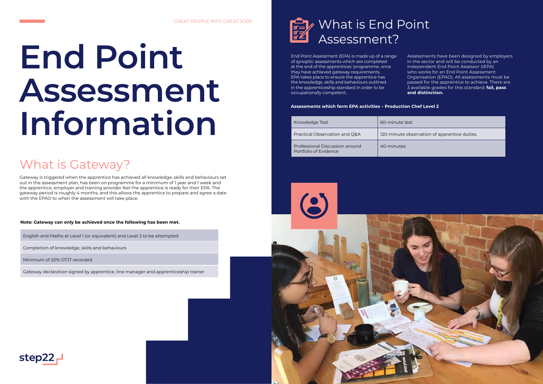## What is Gateway?

Gateway is triggered when the apprentice has achieved all knowledge, skills and behaviours set out in the assessment plan, has been on programme for a minimum of 1 year and 1 week and the apprentice, employer and training provider feel the apprentice is ready for their EPA. The gateway period is roughly 4 months, and this allows the apprentice to prepare and agree a date with the EPAO to when the assessment will take place.

# **End Point Assessment Information**

English and Maths at Level 1 (or equivalent) and Level 2 to be attempted

Completion of knowledge, skills and behaviours

Minimum of 20% OTJT recorded

Gateway declaration signed by apprentice, line manager and apprenticeship trainer



**Note: Gateway can only be achieved once the following has been met.**



End Point Assessment (EPA) is made up of a range of synoptic assessments which are completed at the end of the apprentices' programme, once they have achieved gateway requirements. EPA takes place to ensure the apprentice has the knowledge, skills and behaviours outlined in the apprenticeship standard in order to be occupationally competent.

Assessments have been designed by employers in the sector and will be conducted by an Independent End Point Assessor (IEPA) who works for an End Point Assessment Organisation (EPAO). All assessments must be passed for the apprentice to achieve. There are 3 available grades for this standard; **fail, pass and distinction.**

 $s$ ervation of apprentice duties.

| Knowledge Test                                          | 60-minute test |
|---------------------------------------------------------|----------------|
| Practical Observation and Q&A                           | 120-minute obs |
| Professional Discussion around<br>Portfolio of Evidence | 40-minutes     |



**Assessments which form EPA activities – Production Chef Level 2** 

### GREAT PEOPLE INTO GREAT JOBS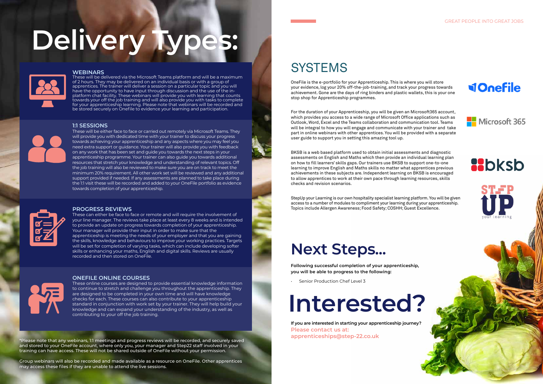\*Please note that any webinars, 1:1 meetings and progress reviews will be recorded, and securely saved and stored to your OneFile account, where only you, your manager and Step22 staff involved in your training can have access. These will not be shared outside of OneFile without your permission.

Group webinars will also be recorded and made available as a resource on OneFile. Other apprentices may access these files if they are unable to attend the live sessions.

## **SYSTEMS**

### **WEBINARS**

These will be delivered via the Microsoft Teams platform and will be a maximum of 2 hours. They may be delivered on an individual basis or with a group of apprentices. The trainer will deliver a session on a particular topic and you will have the opportunity to have input through discussion and the use of the inplatform chat facility. These webinars will provide you with learning that counts towards your off the job training and will also provide you with tasks to complete for your apprenticeship learning. Please note that webinars will be recorded and be stored securely on Onefile to evidence your learning and participation.

## **1:1 SESSIONS**



These will be either face to face or carried out remotely via Microsoft Teams. They will provide you with dedicated time with your trainer to discuss your progress towards achieving your apprenticeship and any aspects where you may feel you need extra support or guidance. Your trainer will also provide you with feedback on any work that has been set and guide you towards the next steps in your apprenticeship programme. Your trainer can also guide you towards additional resources that stretch your knowledge and understanding of relevant topics. Off the job training will also be reviewed to make sure you are on track to meet the minimum 20% requirement. All other work set will be reviewed and any additional support provided if needed. If any assessments are planned to take place during the 1:1 visit these will be recorded and added to your OneFile portfolio as evidence towards completion of your apprenticeship.



### **PROGRESS REVIEWS**

These can either be face to face or remote and will require the involvement of your line manager. The reviews take place at least every 8 weeks and is intended to provide an update on progress towards completion of your apprenticeship. Your manager will provide their input in order to make sure that the apprenticeship is meeting the needs of your employer and that you are gaining the skills, knowledge and behaviours to improve your working practices. Targets will be set for completion of varying tasks, which can include developing softer skills or enhancing your maths, English and digital skills. Reviews are usually recorded and then stored on OneFile.



## **ONEFILE ONLINE COURSES**

These online courses are designed to provide essential knowledge information to continue to stretch and challenge you throughout the apprenticeship. They are designed to be completed in your own time and will have knowledge checks for each. These courses can also contribute to your apprenticeship standard in conjunction with work set by your trainer. They will help build your knowledge and can expand your understanding of the industry, as well as contributing to your off the job training.

# **Delivery Types:**



## GREAT PEOPLE INTO GREAT JOBS

**VOnefile** 



## **R**bksb





# **Next Steps...**

**Following successful completion of your apprenticeship, you will be able to progress to the following:**

• Senior Production Chef Level 3

**If you are interested in starting your apprenticeship journey? Please contact us at: apprenticeships@step-22.co.uk**

# **Interested?**

OneFile is the e-portfolio for your Apprenticeship. This is where you will store your evidence, log your 20% off-the-job-training, and track your progress towards achievement. Gone are the days of ring binders and plastic wallets, this is your one stop shop for Apprenticeship programmes.

For the duration of your Apprenticeship, you will be given an Microsoft365 account, which provides you access to a wide range of Microsoft Office applications such as Outlook, Word, Excel and the Teams collaboration and communication tool. Teams will be integral to how you will engage and communicate with your trainer and take part in online webinars with other apprentices. You will be provided with a separate user guide to support you in setting this amazing tool up.

BKSB is a web based platform used to obtain initial assessments and diagnostic assessments on English and Maths which then provide an individual learning plan on how to fill learners' skills gaps. Our trainers use BKSB to support one-to-one learning to improve English and Maths skills no matter what apprentices previous achievements in these subjects are. Independent learning on BKSB is encouraged to allow apprentices to work at their own pace through learning resources, skills checks and revision scenarios.

StepUp your Learning is our own hospitality specialist learning platform. You will be given access to a number of modules to compliment your learning during your apprenticeship. Topics include Allergen Awareness; Food Safety; COSHH; Guest Excellence.